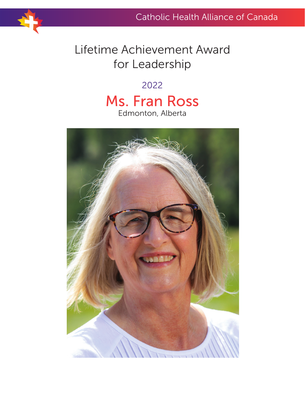# Lifetime Achievement Award for Leadership

### 2022

## Ms. Fran Ross Edmonton, Alberta